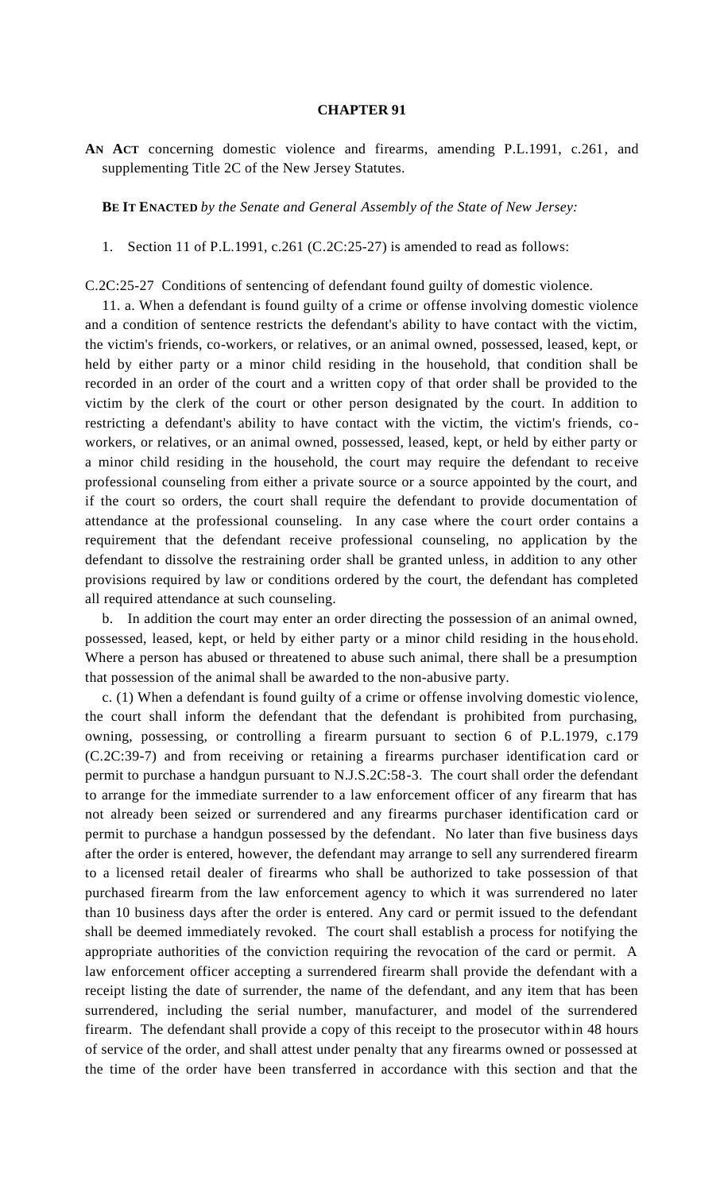## **CHAPTER 91**

**AN ACT** concerning domestic violence and firearms, amending P.L.1991, c.261, and supplementing Title 2C of the New Jersey Statutes.

**BE IT ENACTED** *by the Senate and General Assembly of the State of New Jersey:*

1. Section 11 of P.L.1991, c.261 (C.2C:25-27) is amended to read as follows:

C.2C:25-27 Conditions of sentencing of defendant found guilty of domestic violence.

11. a. When a defendant is found guilty of a crime or offense involving domestic violence and a condition of sentence restricts the defendant's ability to have contact with the victim, the victim's friends, co-workers, or relatives, or an animal owned, possessed, leased, kept, or held by either party or a minor child residing in the household, that condition shall be recorded in an order of the court and a written copy of that order shall be provided to the victim by the clerk of the court or other person designated by the court. In addition to restricting a defendant's ability to have contact with the victim, the victim's friends, coworkers, or relatives, or an animal owned, possessed, leased, kept, or held by either party or a minor child residing in the household, the court may require the defendant to receive professional counseling from either a private source or a source appointed by the court, and if the court so orders, the court shall require the defendant to provide documentation of attendance at the professional counseling. In any case where the court order contains a requirement that the defendant receive professional counseling, no application by the defendant to dissolve the restraining order shall be granted unless, in addition to any other provisions required by law or conditions ordered by the court, the defendant has completed all required attendance at such counseling.

b. In addition the court may enter an order directing the possession of an animal owned, possessed, leased, kept, or held by either party or a minor child residing in the household. Where a person has abused or threatened to abuse such animal, there shall be a presumption that possession of the animal shall be awarded to the non-abusive party.

c. (1) When a defendant is found guilty of a crime or offense involving domestic violence, the court shall inform the defendant that the defendant is prohibited from purchasing, owning, possessing, or controlling a firearm pursuant to section 6 of P.L.1979, c.179 (C.2C:39-7) and from receiving or retaining a firearms purchaser identification card or permit to purchase a handgun pursuant to N.J.S.2C:58-3. The court shall order the defendant to arrange for the immediate surrender to a law enforcement officer of any firearm that has not already been seized or surrendered and any firearms purchaser identification card or permit to purchase a handgun possessed by the defendant. No later than five business days after the order is entered, however, the defendant may arrange to sell any surrendered firearm to a licensed retail dealer of firearms who shall be authorized to take possession of that purchased firearm from the law enforcement agency to which it was surrendered no later than 10 business days after the order is entered. Any card or permit issued to the defendant shall be deemed immediately revoked. The court shall establish a process for notifying the appropriate authorities of the conviction requiring the revocation of the card or permit. A law enforcement officer accepting a surrendered firearm shall provide the defendant with a receipt listing the date of surrender, the name of the defendant, and any item that has been surrendered, including the serial number, manufacturer, and model of the surrendered firearm. The defendant shall provide a copy of this receipt to the prosecutor within 48 hours of service of the order, and shall attest under penalty that any firearms owned or possessed at the time of the order have been transferred in accordance with this section and that the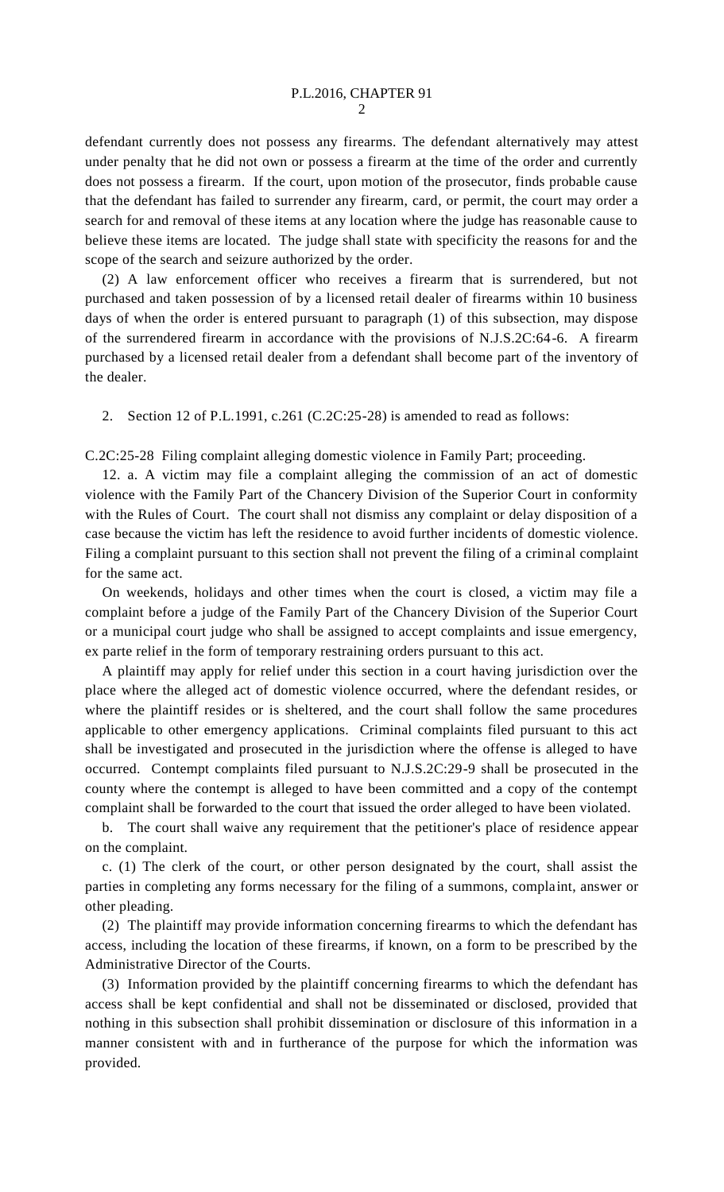defendant currently does not possess any firearms. The defendant alternatively may attest under penalty that he did not own or possess a firearm at the time of the order and currently does not possess a firearm. If the court, upon motion of the prosecutor, finds probable cause that the defendant has failed to surrender any firearm, card, or permit, the court may order a search for and removal of these items at any location where the judge has reasonable cause to believe these items are located. The judge shall state with specificity the reasons for and the scope of the search and seizure authorized by the order.

(2) A law enforcement officer who receives a firearm that is surrendered, but not purchased and taken possession of by a licensed retail dealer of firearms within 10 business days of when the order is entered pursuant to paragraph (1) of this subsection, may dispose of the surrendered firearm in accordance with the provisions of N.J.S.2C:64-6. A firearm purchased by a licensed retail dealer from a defendant shall become part of the inventory of the dealer.

2. Section 12 of P.L.1991, c.261 (C.2C:25-28) is amended to read as follows:

C.2C:25-28 Filing complaint alleging domestic violence in Family Part; proceeding.

12. a. A victim may file a complaint alleging the commission of an act of domestic violence with the Family Part of the Chancery Division of the Superior Court in conformity with the Rules of Court. The court shall not dismiss any complaint or delay disposition of a case because the victim has left the residence to avoid further incidents of domestic violence. Filing a complaint pursuant to this section shall not prevent the filing of a criminal complaint for the same act.

On weekends, holidays and other times when the court is closed, a victim may file a complaint before a judge of the Family Part of the Chancery Division of the Superior Court or a municipal court judge who shall be assigned to accept complaints and issue emergency, ex parte relief in the form of temporary restraining orders pursuant to this act.

A plaintiff may apply for relief under this section in a court having jurisdiction over the place where the alleged act of domestic violence occurred, where the defendant resides, or where the plaintiff resides or is sheltered, and the court shall follow the same procedures applicable to other emergency applications. Criminal complaints filed pursuant to this act shall be investigated and prosecuted in the jurisdiction where the offense is alleged to have occurred. Contempt complaints filed pursuant to N.J.S.2C:29-9 shall be prosecuted in the county where the contempt is alleged to have been committed and a copy of the contempt complaint shall be forwarded to the court that issued the order alleged to have been violated.

b. The court shall waive any requirement that the petitioner's place of residence appear on the complaint.

c. (1) The clerk of the court, or other person designated by the court, shall assist the parties in completing any forms necessary for the filing of a summons, complaint, answer or other pleading.

(2) The plaintiff may provide information concerning firearms to which the defendant has access, including the location of these firearms, if known, on a form to be prescribed by the Administrative Director of the Courts.

(3) Information provided by the plaintiff concerning firearms to which the defendant has access shall be kept confidential and shall not be disseminated or disclosed, provided that nothing in this subsection shall prohibit dissemination or disclosure of this information in a manner consistent with and in furtherance of the purpose for which the information was provided.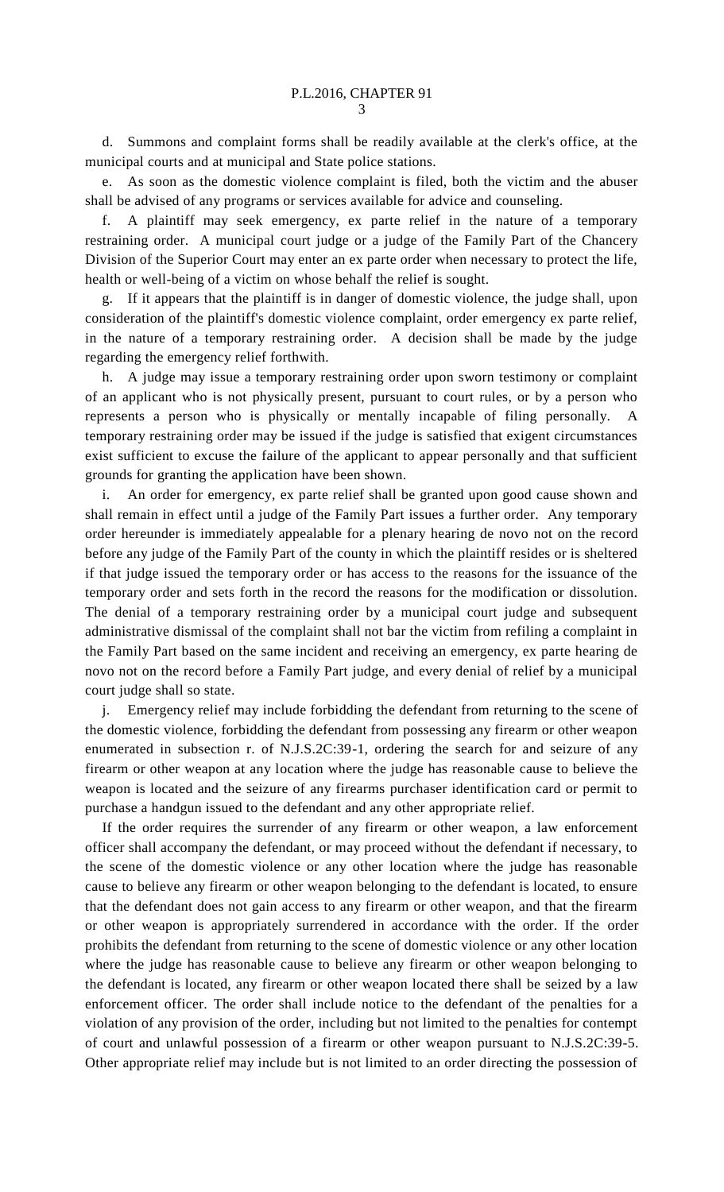d. Summons and complaint forms shall be readily available at the clerk's office, at the municipal courts and at municipal and State police stations.

e. As soon as the domestic violence complaint is filed, both the victim and the abuser shall be advised of any programs or services available for advice and counseling.

f. A plaintiff may seek emergency, ex parte relief in the nature of a temporary restraining order. A municipal court judge or a judge of the Family Part of the Chancery Division of the Superior Court may enter an ex parte order when necessary to protect the life, health or well-being of a victim on whose behalf the relief is sought.

g. If it appears that the plaintiff is in danger of domestic violence, the judge shall, upon consideration of the plaintiff's domestic violence complaint, order emergency ex parte relief, in the nature of a temporary restraining order. A decision shall be made by the judge regarding the emergency relief forthwith.

h. A judge may issue a temporary restraining order upon sworn testimony or complaint of an applicant who is not physically present, pursuant to court rules, or by a person who represents a person who is physically or mentally incapable of filing personally. A temporary restraining order may be issued if the judge is satisfied that exigent circumstances exist sufficient to excuse the failure of the applicant to appear personally and that sufficient grounds for granting the application have been shown.

i. An order for emergency, ex parte relief shall be granted upon good cause shown and shall remain in effect until a judge of the Family Part issues a further order. Any temporary order hereunder is immediately appealable for a plenary hearing de novo not on the record before any judge of the Family Part of the county in which the plaintiff resides or is sheltered if that judge issued the temporary order or has access to the reasons for the issuance of the temporary order and sets forth in the record the reasons for the modification or dissolution. The denial of a temporary restraining order by a municipal court judge and subsequent administrative dismissal of the complaint shall not bar the victim from refiling a complaint in the Family Part based on the same incident and receiving an emergency, ex parte hearing de novo not on the record before a Family Part judge, and every denial of relief by a municipal court judge shall so state.

j. Emergency relief may include forbidding the defendant from returning to the scene of the domestic violence, forbidding the defendant from possessing any firearm or other weapon enumerated in subsection r. of N.J.S.2C:39-1, ordering the search for and seizure of any firearm or other weapon at any location where the judge has reasonable cause to believe the weapon is located and the seizure of any firearms purchaser identification card or permit to purchase a handgun issued to the defendant and any other appropriate relief.

If the order requires the surrender of any firearm or other weapon, a law enforcement officer shall accompany the defendant, or may proceed without the defendant if necessary, to the scene of the domestic violence or any other location where the judge has reasonable cause to believe any firearm or other weapon belonging to the defendant is located, to ensure that the defendant does not gain access to any firearm or other weapon, and that the firearm or other weapon is appropriately surrendered in accordance with the order. If the order prohibits the defendant from returning to the scene of domestic violence or any other location where the judge has reasonable cause to believe any firearm or other weapon belonging to the defendant is located, any firearm or other weapon located there shall be seized by a law enforcement officer. The order shall include notice to the defendant of the penalties for a violation of any provision of the order, including but not limited to the penalties for contempt of court and unlawful possession of a firearm or other weapon pursuant to N.J.S.2C:39-5. Other appropriate relief may include but is not limited to an order directing the possession of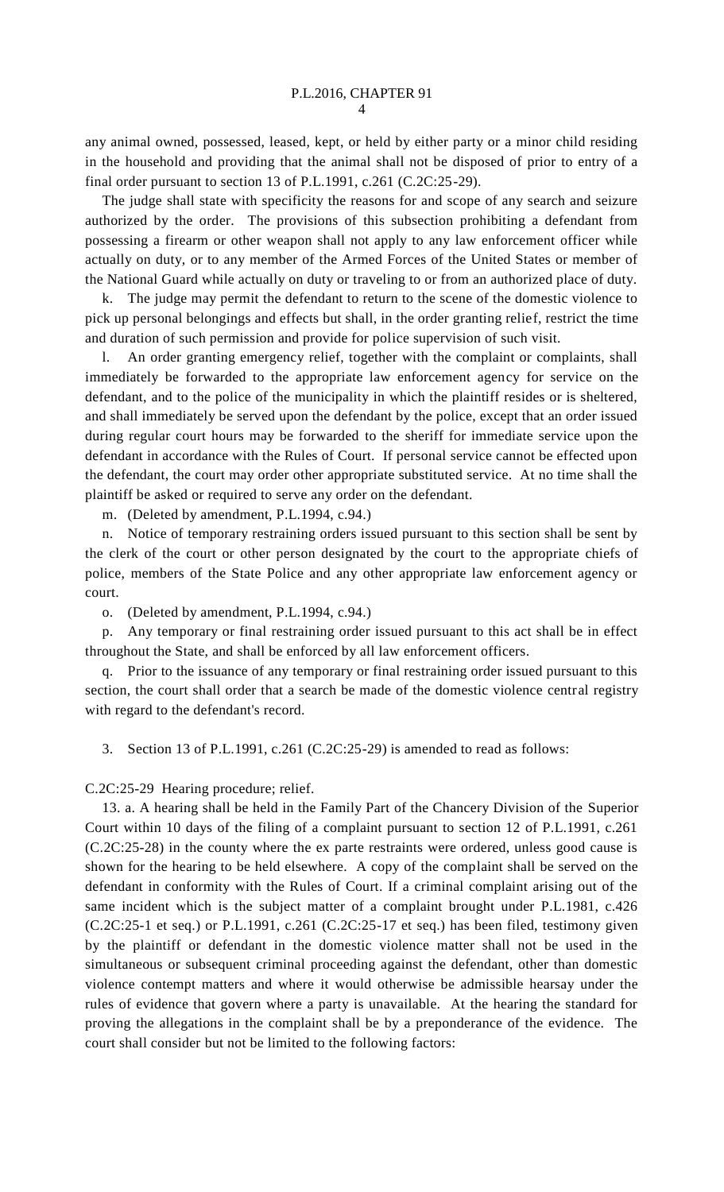any animal owned, possessed, leased, kept, or held by either party or a minor child residing in the household and providing that the animal shall not be disposed of prior to entry of a final order pursuant to section 13 of P.L.1991, c.261 (C.2C:25-29).

The judge shall state with specificity the reasons for and scope of any search and seizure authorized by the order. The provisions of this subsection prohibiting a defendant from possessing a firearm or other weapon shall not apply to any law enforcement officer while actually on duty, or to any member of the Armed Forces of the United States or member of the National Guard while actually on duty or traveling to or from an authorized place of duty.

k. The judge may permit the defendant to return to the scene of the domestic violence to pick up personal belongings and effects but shall, in the order granting relief, restrict the time and duration of such permission and provide for police supervision of such visit.

l. An order granting emergency relief, together with the complaint or complaints, shall immediately be forwarded to the appropriate law enforcement agency for service on the defendant, and to the police of the municipality in which the plaintiff resides or is sheltered, and shall immediately be served upon the defendant by the police, except that an order issued during regular court hours may be forwarded to the sheriff for immediate service upon the defendant in accordance with the Rules of Court. If personal service cannot be effected upon the defendant, the court may order other appropriate substituted service. At no time shall the plaintiff be asked or required to serve any order on the defendant.

m. (Deleted by amendment, P.L.1994, c.94.)

n. Notice of temporary restraining orders issued pursuant to this section shall be sent by the clerk of the court or other person designated by the court to the appropriate chiefs of police, members of the State Police and any other appropriate law enforcement agency or court.

o. (Deleted by amendment, P.L.1994, c.94.)

p. Any temporary or final restraining order issued pursuant to this act shall be in effect throughout the State, and shall be enforced by all law enforcement officers.

q. Prior to the issuance of any temporary or final restraining order issued pursuant to this section, the court shall order that a search be made of the domestic violence central registry with regard to the defendant's record.

3. Section 13 of P.L.1991, c.261 (C.2C:25-29) is amended to read as follows:

C.2C:25-29 Hearing procedure; relief.

13. a. A hearing shall be held in the Family Part of the Chancery Division of the Superior Court within 10 days of the filing of a complaint pursuant to section 12 of P.L.1991, c.261 (C.2C:25-28) in the county where the ex parte restraints were ordered, unless good cause is shown for the hearing to be held elsewhere. A copy of the complaint shall be served on the defendant in conformity with the Rules of Court. If a criminal complaint arising out of the same incident which is the subject matter of a complaint brought under P.L.1981, c.426  $(C.2C:25-1$  et seq.) or P.L.1991, c.261  $(C.2C:25-17$  et seq.) has been filed, testimony given by the plaintiff or defendant in the domestic violence matter shall not be used in the simultaneous or subsequent criminal proceeding against the defendant, other than domestic violence contempt matters and where it would otherwise be admissible hearsay under the rules of evidence that govern where a party is unavailable. At the hearing the standard for proving the allegations in the complaint shall be by a preponderance of the evidence. The court shall consider but not be limited to the following factors: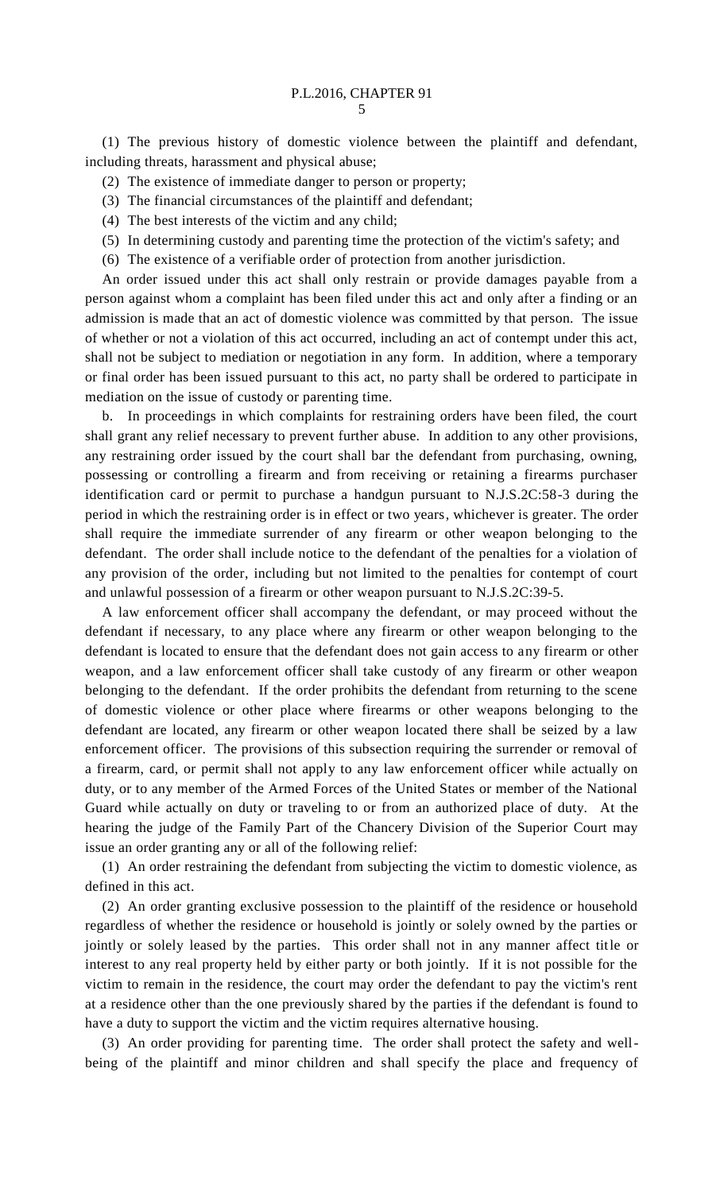(1) The previous history of domestic violence between the plaintiff and defendant, including threats, harassment and physical abuse;

(2) The existence of immediate danger to person or property;

(3) The financial circumstances of the plaintiff and defendant;

(4) The best interests of the victim and any child;

(5) In determining custody and parenting time the protection of the victim's safety; and

(6) The existence of a verifiable order of protection from another jurisdiction.

An order issued under this act shall only restrain or provide damages payable from a person against whom a complaint has been filed under this act and only after a finding or an admission is made that an act of domestic violence was committed by that person. The issue of whether or not a violation of this act occurred, including an act of contempt under this act, shall not be subject to mediation or negotiation in any form. In addition, where a temporary or final order has been issued pursuant to this act, no party shall be ordered to participate in mediation on the issue of custody or parenting time.

b. In proceedings in which complaints for restraining orders have been filed, the court shall grant any relief necessary to prevent further abuse. In addition to any other provisions, any restraining order issued by the court shall bar the defendant from purchasing, owning, possessing or controlling a firearm and from receiving or retaining a firearms purchaser identification card or permit to purchase a handgun pursuant to N.J.S.2C:58-3 during the period in which the restraining order is in effect or two years, whichever is greater. The order shall require the immediate surrender of any firearm or other weapon belonging to the defendant. The order shall include notice to the defendant of the penalties for a violation of any provision of the order, including but not limited to the penalties for contempt of court and unlawful possession of a firearm or other weapon pursuant to N.J.S.2C:39-5.

A law enforcement officer shall accompany the defendant, or may proceed without the defendant if necessary, to any place where any firearm or other weapon belonging to the defendant is located to ensure that the defendant does not gain access to any firearm or other weapon, and a law enforcement officer shall take custody of any firearm or other weapon belonging to the defendant. If the order prohibits the defendant from returning to the scene of domestic violence or other place where firearms or other weapons belonging to the defendant are located, any firearm or other weapon located there shall be seized by a law enforcement officer. The provisions of this subsection requiring the surrender or removal of a firearm, card, or permit shall not apply to any law enforcement officer while actually on duty, or to any member of the Armed Forces of the United States or member of the National Guard while actually on duty or traveling to or from an authorized place of duty. At the hearing the judge of the Family Part of the Chancery Division of the Superior Court may issue an order granting any or all of the following relief:

(1) An order restraining the defendant from subjecting the victim to domestic violence, as defined in this act.

(2) An order granting exclusive possession to the plaintiff of the residence or household regardless of whether the residence or household is jointly or solely owned by the parties or jointly or solely leased by the parties. This order shall not in any manner affect title or interest to any real property held by either party or both jointly. If it is not possible for the victim to remain in the residence, the court may order the defendant to pay the victim's rent at a residence other than the one previously shared by the parties if the defendant is found to have a duty to support the victim and the victim requires alternative housing.

(3) An order providing for parenting time. The order shall protect the safety and wellbeing of the plaintiff and minor children and shall specify the place and frequency of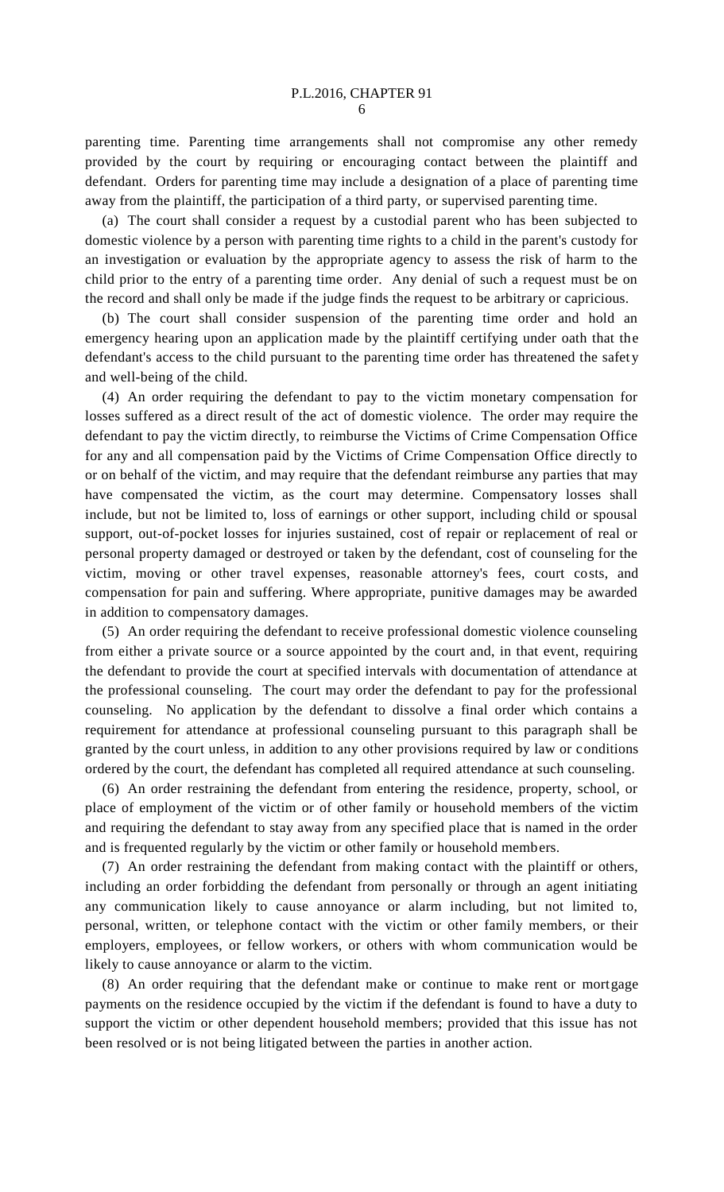parenting time. Parenting time arrangements shall not compromise any other remedy provided by the court by requiring or encouraging contact between the plaintiff and defendant. Orders for parenting time may include a designation of a place of parenting time away from the plaintiff, the participation of a third party, or supervised parenting time.

(a) The court shall consider a request by a custodial parent who has been subjected to domestic violence by a person with parenting time rights to a child in the parent's custody for an investigation or evaluation by the appropriate agency to assess the risk of harm to the child prior to the entry of a parenting time order. Any denial of such a request must be on the record and shall only be made if the judge finds the request to be arbitrary or capricious.

(b) The court shall consider suspension of the parenting time order and hold an emergency hearing upon an application made by the plaintiff certifying under oath that the defendant's access to the child pursuant to the parenting time order has threatened the safety and well-being of the child.

(4) An order requiring the defendant to pay to the victim monetary compensation for losses suffered as a direct result of the act of domestic violence. The order may require the defendant to pay the victim directly, to reimburse the Victims of Crime Compensation Office for any and all compensation paid by the Victims of Crime Compensation Office directly to or on behalf of the victim, and may require that the defendant reimburse any parties that may have compensated the victim, as the court may determine. Compensatory losses shall include, but not be limited to, loss of earnings or other support, including child or spousal support, out-of-pocket losses for injuries sustained, cost of repair or replacement of real or personal property damaged or destroyed or taken by the defendant, cost of counseling for the victim, moving or other travel expenses, reasonable attorney's fees, court costs, and compensation for pain and suffering. Where appropriate, punitive damages may be awarded in addition to compensatory damages.

(5) An order requiring the defendant to receive professional domestic violence counseling from either a private source or a source appointed by the court and, in that event, requiring the defendant to provide the court at specified intervals with documentation of attendance at the professional counseling. The court may order the defendant to pay for the professional counseling. No application by the defendant to dissolve a final order which contains a requirement for attendance at professional counseling pursuant to this paragraph shall be granted by the court unless, in addition to any other provisions required by law or conditions ordered by the court, the defendant has completed all required attendance at such counseling.

(6) An order restraining the defendant from entering the residence, property, school, or place of employment of the victim or of other family or household members of the victim and requiring the defendant to stay away from any specified place that is named in the order and is frequented regularly by the victim or other family or household members.

(7) An order restraining the defendant from making contact with the plaintiff or others, including an order forbidding the defendant from personally or through an agent initiating any communication likely to cause annoyance or alarm including, but not limited to, personal, written, or telephone contact with the victim or other family members, or their employers, employees, or fellow workers, or others with whom communication would be likely to cause annoyance or alarm to the victim.

(8) An order requiring that the defendant make or continue to make rent or mortgage payments on the residence occupied by the victim if the defendant is found to have a duty to support the victim or other dependent household members; provided that this issue has not been resolved or is not being litigated between the parties in another action.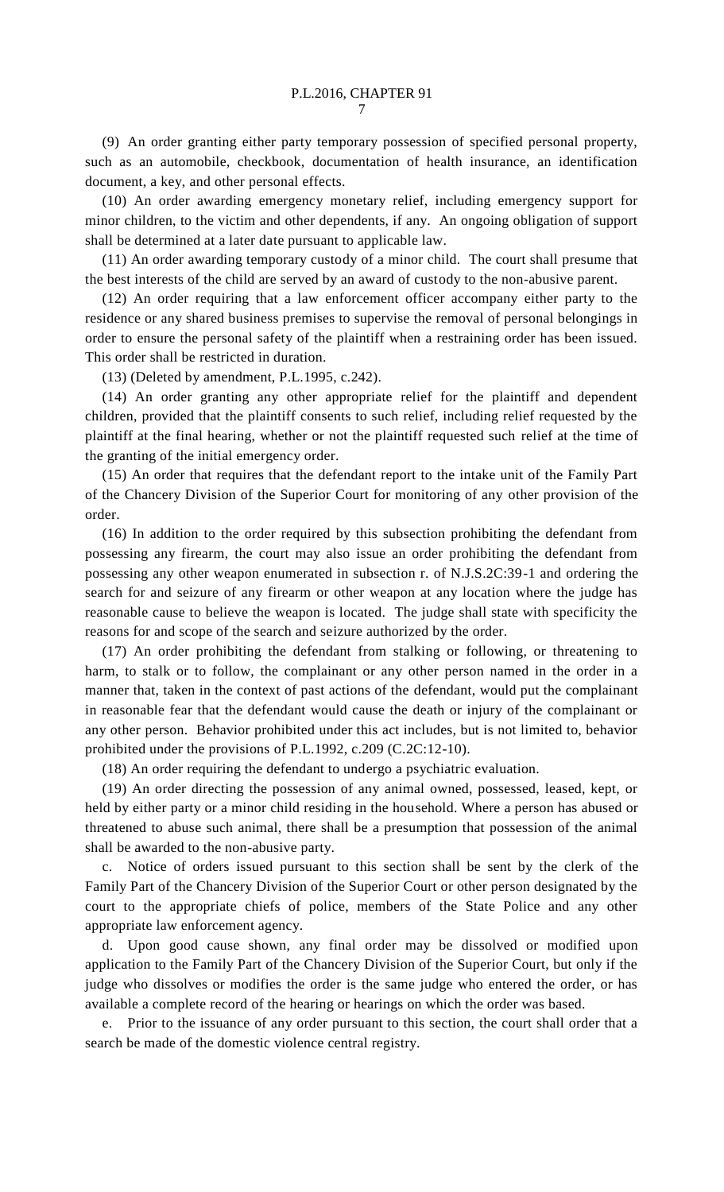(9) An order granting either party temporary possession of specified personal property, such as an automobile, checkbook, documentation of health insurance, an identification document, a key, and other personal effects.

(10) An order awarding emergency monetary relief, including emergency support for minor children, to the victim and other dependents, if any. An ongoing obligation of support shall be determined at a later date pursuant to applicable law.

(11) An order awarding temporary custody of a minor child. The court shall presume that the best interests of the child are served by an award of custody to the non-abusive parent.

(12) An order requiring that a law enforcement officer accompany either party to the residence or any shared business premises to supervise the removal of personal belongings in order to ensure the personal safety of the plaintiff when a restraining order has been issued. This order shall be restricted in duration.

(13) (Deleted by amendment, P.L.1995, c.242).

(14) An order granting any other appropriate relief for the plaintiff and dependent children, provided that the plaintiff consents to such relief, including relief requested by the plaintiff at the final hearing, whether or not the plaintiff requested such relief at the time of the granting of the initial emergency order.

(15) An order that requires that the defendant report to the intake unit of the Family Part of the Chancery Division of the Superior Court for monitoring of any other provision of the order.

(16) In addition to the order required by this subsection prohibiting the defendant from possessing any firearm, the court may also issue an order prohibiting the defendant from possessing any other weapon enumerated in subsection r. of N.J.S.2C:39-1 and ordering the search for and seizure of any firearm or other weapon at any location where the judge has reasonable cause to believe the weapon is located. The judge shall state with specificity the reasons for and scope of the search and seizure authorized by the order.

(17) An order prohibiting the defendant from stalking or following, or threatening to harm, to stalk or to follow, the complainant or any other person named in the order in a manner that, taken in the context of past actions of the defendant, would put the complainant in reasonable fear that the defendant would cause the death or injury of the complainant or any other person. Behavior prohibited under this act includes, but is not limited to, behavior prohibited under the provisions of P.L.1992, c.209 (C.2C:12-10).

(18) An order requiring the defendant to undergo a psychiatric evaluation.

(19) An order directing the possession of any animal owned, possessed, leased, kept, or held by either party or a minor child residing in the household. Where a person has abused or threatened to abuse such animal, there shall be a presumption that possession of the animal shall be awarded to the non-abusive party.

c. Notice of orders issued pursuant to this section shall be sent by the clerk of the Family Part of the Chancery Division of the Superior Court or other person designated by the court to the appropriate chiefs of police, members of the State Police and any other appropriate law enforcement agency.

Upon good cause shown, any final order may be dissolved or modified upon application to the Family Part of the Chancery Division of the Superior Court, but only if the judge who dissolves or modifies the order is the same judge who entered the order, or has available a complete record of the hearing or hearings on which the order was based.

e. Prior to the issuance of any order pursuant to this section, the court shall order that a search be made of the domestic violence central registry.